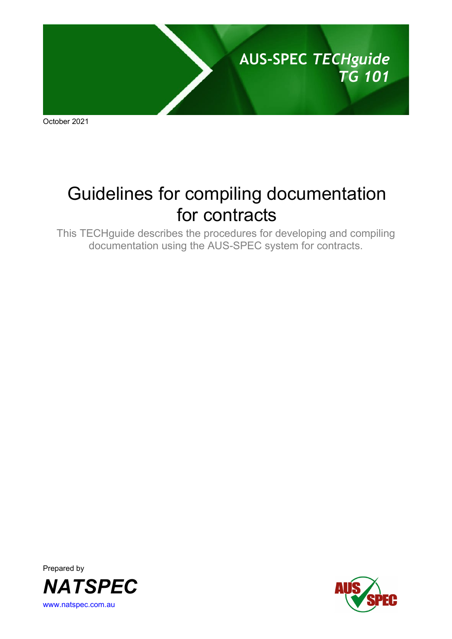

October 2021

# Guidelines for compiling documentation for contracts

This TECHguide describes the procedures for developing and compiling documentation using the AUS-SPEC system for contracts.



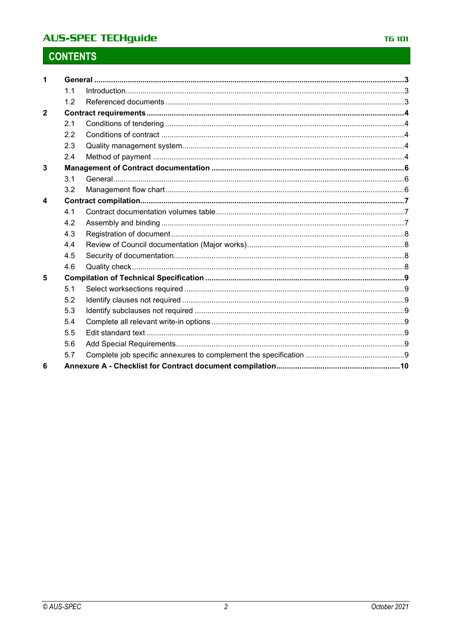## **AUS-SPEC TECHguide**

# **CONTENTS**

| $\blacktriangleleft$ |     |  |  |  |
|----------------------|-----|--|--|--|
|                      | 1.1 |  |  |  |
|                      | 1.2 |  |  |  |
| $\overline{2}$       |     |  |  |  |
|                      | 2.1 |  |  |  |
|                      | 2.2 |  |  |  |
|                      | 2.3 |  |  |  |
|                      | 2.4 |  |  |  |
| 3                    |     |  |  |  |
|                      | 3.1 |  |  |  |
|                      | 3.2 |  |  |  |
| 4                    |     |  |  |  |
|                      | 4.1 |  |  |  |
|                      | 4.2 |  |  |  |
|                      | 4.3 |  |  |  |
|                      | 4.4 |  |  |  |
|                      | 4.5 |  |  |  |
|                      | 4.6 |  |  |  |
| 5                    |     |  |  |  |
|                      | 5.1 |  |  |  |
|                      | 5.2 |  |  |  |
|                      | 5.3 |  |  |  |
|                      | 5.4 |  |  |  |
|                      | 5.5 |  |  |  |
|                      | 5.6 |  |  |  |
|                      | 5.7 |  |  |  |
| 6                    |     |  |  |  |
|                      |     |  |  |  |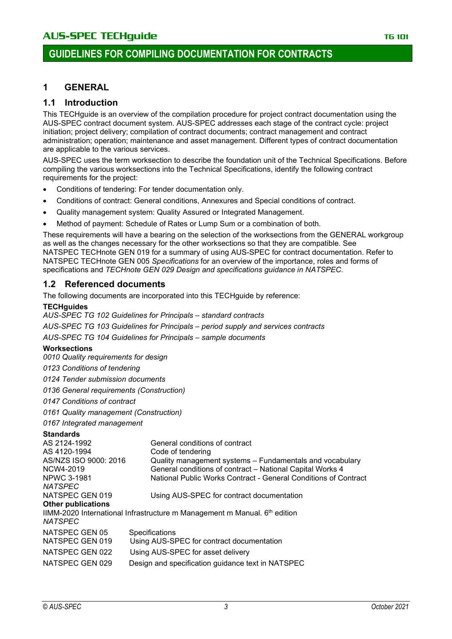## **1 GENERAL**

#### **1.1 Introduction**

This TECHguide is an overview of the compilation procedure for project contract documentation using the AUS-SPEC contract document system. AUS-SPEC addresses each stage of the contract cycle: project initiation; project delivery; compilation of contract documents; contract management and contract administration; operation; maintenance and asset management. Different types of contract documentation are applicable to the various services.

AUS-SPEC uses the term worksection to describe the foundation unit of the Technical Specifications. Before compiling the various worksections into the Technical Specifications, identify the following contract requirements for the project:

- Conditions of tendering: For tender documentation only.
- Conditions of contract: General conditions, Annexures and Special conditions of contract.
- Quality management system: Quality Assured or Integrated Management.
- Method of payment: Schedule of Rates or Lump Sum or a combination of both.

These requirements will have a bearing on the selection of the worksections from the GENERAL workgroup as well as the changes necessary for the other worksections so that they are compatible. See NATSPEC TECHnote GEN 019 for a summary of using AUS-SPEC for contract documentation. Refer to NATSPEC TECHnote GEN 005 *Specifications* for an overview of the importance, roles and forms of specifications and *TECHnote GEN 029 Design and specifications guidance in NATSPEC*.

#### **1.2 Referenced documents**

The following documents are incorporated into this TECHguide by reference:

#### **TECHguides**

*AUS-SPEC TG 102 Guidelines for Principals* – *standard contracts*

*AUS-SPEC TG 103 Guidelines for Principals* – *period supply and services contracts*

*AUS-SPEC TG 104 Guidelines for Principals – sample documents*

#### **Worksections**

*0010 Quality requirements for design*

- *0123 Conditions of tendering*
- *0124 Tender submission documents*

*0136 General requirements (Construction)*

- *0147 Conditions of contract*
- *0161 Quality management (Construction)*
- *0167 Integrated management*

#### **Standards**

| General conditions of contract                                              |  |  |  |  |  |  |  |  |
|-----------------------------------------------------------------------------|--|--|--|--|--|--|--|--|
| Code of tendering                                                           |  |  |  |  |  |  |  |  |
| Quality management systems – Fundamentals and vocabulary                    |  |  |  |  |  |  |  |  |
| General conditions of contract - National Capital Works 4                   |  |  |  |  |  |  |  |  |
| National Public Works Contract - General Conditions of Contract             |  |  |  |  |  |  |  |  |
|                                                                             |  |  |  |  |  |  |  |  |
| Using AUS-SPEC for contract documentation                                   |  |  |  |  |  |  |  |  |
|                                                                             |  |  |  |  |  |  |  |  |
| IIMM-2020 International Infrastructure m Management m Manual. $6th$ edition |  |  |  |  |  |  |  |  |
|                                                                             |  |  |  |  |  |  |  |  |
| Specifications                                                              |  |  |  |  |  |  |  |  |
| Using AUS-SPEC for contract documentation                                   |  |  |  |  |  |  |  |  |
| Using AUS-SPEC for asset delivery                                           |  |  |  |  |  |  |  |  |
| Design and specification guidance text in NATSPEC                           |  |  |  |  |  |  |  |  |
|                                                                             |  |  |  |  |  |  |  |  |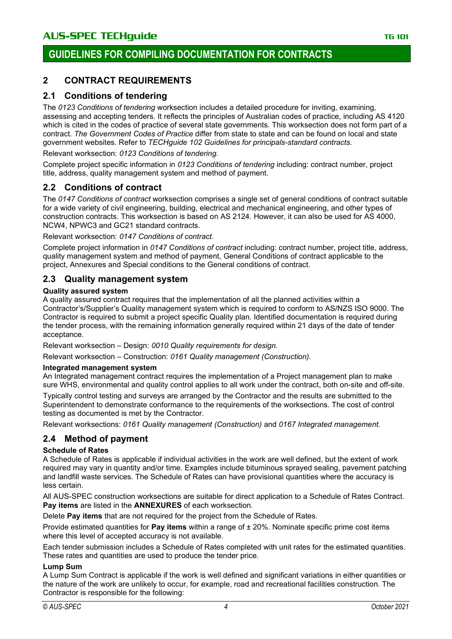## **2 CONTRACT REQUIREMENTS**

#### **2.1 Conditions of tendering**

The *0123 Conditions of tendering* worksection includes a detailed procedure for inviting, examining, assessing and accepting tenders. It reflects the principles of Australian codes of practice, including AS 4120 which is cited in the codes of practice of several state governments. This worksection does not form part of a contract. *The Government Codes of Practice* differ from state to state and can be found on local and state government websites. Refer to *TECHguide 102 Guidelines for principals-standard contracts.*

Relevant worksection: *0123 Conditions of tendering.*

Complete project specific information in *0123 Conditions of tendering* including: contract number, project title, address, quality management system and method of payment.

#### **2.2 Conditions of contract**

The *0147 Conditions of contract* worksection comprises a single set of general conditions of contract suitable for a wide variety of civil engineering, building, electrical and mechanical engineering, and other types of construction contracts. This worksection is based on AS 2124. However, it can also be used for AS 4000, NCW4, NPWC3 and GC21 standard contracts.

Relevant worksection: *0147 Conditions of contract.*

Complete project information in *0147 Conditions of contract* including: contract number, project title, address, quality management system and method of payment, General Conditions of contract applicable to the project, Annexures and Special conditions to the General conditions of contract.

#### **2.3 Quality management system**

#### **Quality assured system**

A quality assured contract requires that the implementation of all the planned activities within a Contractor's/Supplier's Quality management system which is required to conform to AS/NZS ISO 9000. The Contractor is required to submit a project specific Quality plan. Identified documentation is required during the tender process, with the remaining information generally required within 21 days of the date of tender acceptance.

Relevant worksection – Design: *0010 Quality requirements for design.*

Relevant worksection – Construction: *0161 Quality management (Construction).*

#### **Integrated management system**

An Integrated management contract requires the implementation of a Project management plan to make sure WHS, environmental and quality control applies to all work under the contract, both on-site and off-site.

Typically control testing and surveys are arranged by the Contractor and the results are submitted to the Superintendent to demonstrate conformance to the requirements of the worksections. The cost of control testing as documented is met by the Contractor.

Relevant worksections: *0161 Quality management (Construction)* and *0167 Integrated management.*

## **2.4 Method of payment**

#### **Schedule of Rates**

A Schedule of Rates is applicable if individual activities in the work are well defined, but the extent of work required may vary in quantity and/or time. Examples include bituminous sprayed sealing, pavement patching and landfill waste services. The Schedule of Rates can have provisional quantities where the accuracy is less certain.

All AUS-SPEC construction worksections are suitable for direct application to a Schedule of Rates Contract. **Pay items** are listed in the **ANNEXURES** of each worksection.

Delete **Pay items** that are not required for the project from the Schedule of Rates.

Provide estimated quantities for **Pay items** within a range of ± 20%. Nominate specific prime cost items where this level of accepted accuracy is not available.

Each tender submission includes a Schedule of Rates completed with unit rates for the estimated quantities. These rates and quantities are used to produce the tender price.

#### **Lump Sum**

A Lump Sum Contract is applicable if the work is well defined and significant variations in either quantities or the nature of the work are unlikely to occur, for example, road and recreational facilities construction. The Contractor is responsible for the following: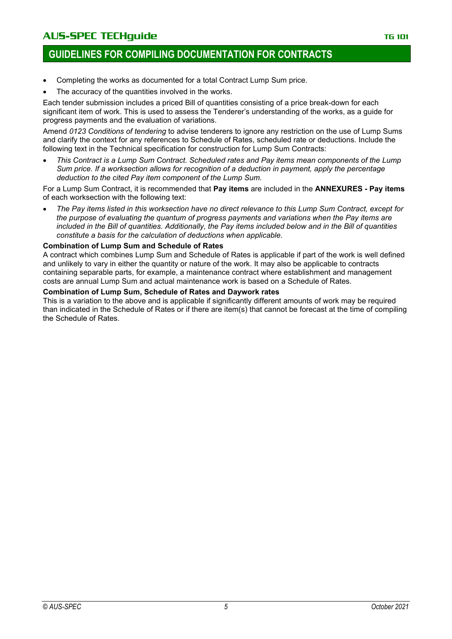## AUS-SPEC TECHquide **TG 101** TG 101

## **GUIDELINES FOR COMPILING DOCUMENTATION FOR CONTRACTS**

- Completing the works as documented for a total Contract Lump Sum price.
- The accuracy of the quantities involved in the works.

Each tender submission includes a priced Bill of quantities consisting of a price break-down for each significant item of work. This is used to assess the Tenderer's understanding of the works, as a guide for progress payments and the evaluation of variations.

Amend *0123 Conditions of tendering* to advise tenderers to ignore any restriction on the use of Lump Sums and clarify the context for any references to Schedule of Rates, scheduled rate or deductions. Include the following text in the Technical specification for construction for Lump Sum Contracts:

• *This Contract is a Lump Sum Contract. Scheduled rates and Pay items mean components of the Lump Sum price. If a worksection allows for recognition of a deduction in payment, apply the percentage deduction to the cited Pay item component of the Lump Sum.*

For a Lump Sum Contract, it is recommended that **Pay items** are included in the **ANNEXURES - Pay items**  of each worksection with the following text:

• *The Pay items listed in this worksection have no direct relevance to this Lump Sum Contract, except for the purpose of evaluating the quantum of progress payments and variations when the Pay items are included in the Bill of quantities. Additionally, the Pay items included below and in the Bill of quantities constitute a basis for the calculation of deductions when applicable.*

#### **Combination of Lump Sum and Schedule of Rates**

A contract which combines Lump Sum and Schedule of Rates is applicable if part of the work is well defined and unlikely to vary in either the quantity or nature of the work. It may also be applicable to contracts containing separable parts, for example, a maintenance contract where establishment and management costs are annual Lump Sum and actual maintenance work is based on a Schedule of Rates.

#### **Combination of Lump Sum, Schedule of Rates and Daywork rates**

This is a variation to the above and is applicable if significantly different amounts of work may be required than indicated in the Schedule of Rates or if there are item(s) that cannot be forecast at the time of compiling the Schedule of Rates.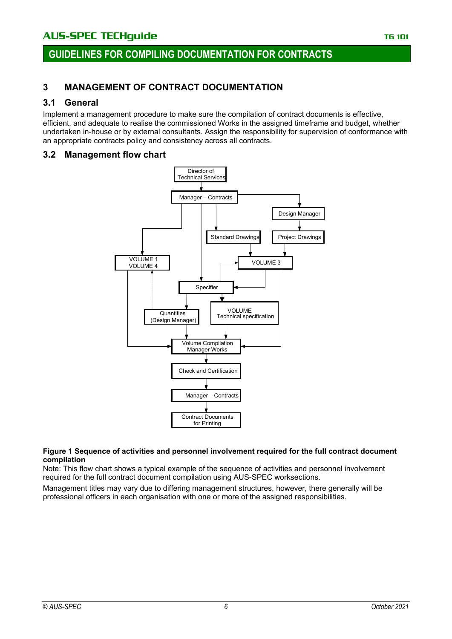## **3 MANAGEMENT OF CONTRACT DOCUMENTATION**

#### **3.1 General**

Implement a management procedure to make sure the compilation of contract documents is effective, efficient, and adequate to realise the commissioned Works in the assigned timeframe and budget, whether undertaken in-house or by external consultants. Assign the responsibility for supervision of conformance with an appropriate contracts policy and consistency across all contracts.

#### **3.2 Management flow chart**



#### **Figure 1 Sequence of activities and personnel involvement required for the full contract document compilation**

Note: This flow chart shows a typical example of the sequence of activities and personnel involvement required for the full contract document compilation using AUS-SPEC worksections.

Management titles may vary due to differing management structures, however, there generally will be professional officers in each organisation with one or more of the assigned responsibilities.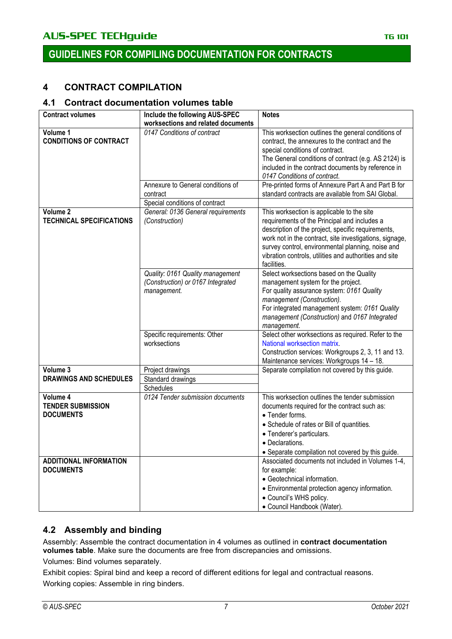## **4 CONTRACT COMPILATION**

#### **4.1 Contract documentation volumes table**

| <b>Contract volumes</b>                                  | Include the following AUS-SPEC<br>worksections and related documents                 | <b>Notes</b>                                                                                                                                                                                                                                                                                                                              |
|----------------------------------------------------------|--------------------------------------------------------------------------------------|-------------------------------------------------------------------------------------------------------------------------------------------------------------------------------------------------------------------------------------------------------------------------------------------------------------------------------------------|
| Volume 1<br><b>CONDITIONS OF CONTRACT</b>                | 0147 Conditions of contract                                                          | This worksection outlines the general conditions of<br>contract, the annexures to the contract and the<br>special conditions of contract.<br>The General conditions of contract (e.g. AS 2124) is<br>included in the contract documents by reference in<br>0147 Conditions of contract.                                                   |
|                                                          | Annexure to General conditions of<br>contract<br>Special conditions of contract      | Pre-printed forms of Annexure Part A and Part B for<br>standard contracts are available from SAI Global.                                                                                                                                                                                                                                  |
| Volume 2<br><b>TECHNICAL SPECIFICATIONS</b>              | General: 0136 General requirements<br>(Construction)                                 | This worksection is applicable to the site<br>requirements of the Principal and includes a<br>description of the project, specific requirements,<br>work not in the contract, site investigations, signage,<br>survey control, environmental planning, noise and<br>vibration controls, utilities and authorities and site<br>facilities. |
|                                                          | Quality: 0161 Quality management<br>(Construction) or 0167 Integrated<br>management. | Select worksections based on the Quality<br>management system for the project.<br>For quality assurance system: 0161 Quality<br>management (Construction).<br>For integrated management system: 0161 Quality<br>management (Construction) and 0167 Integrated<br>management.                                                              |
|                                                          | Specific requirements: Other<br>worksections                                         | Select other worksections as required. Refer to the<br>National worksection matrix.<br>Construction services: Workgroups 2, 3, 11 and 13.<br>Maintenance services: Workgroups 14 - 18.                                                                                                                                                    |
| Volume 3<br><b>DRAWINGS AND SCHEDULES</b>                | Project drawings<br>Standard drawings<br>Schedules                                   | Separate compilation not covered by this guide.                                                                                                                                                                                                                                                                                           |
| Volume 4<br><b>TENDER SUBMISSION</b><br><b>DOCUMENTS</b> | 0124 Tender submission documents                                                     | This worksection outlines the tender submission<br>documents required for the contract such as:<br>• Tender forms.<br>• Schedule of rates or Bill of quantities.<br>• Tenderer's particulars.<br>• Declarations.<br>• Separate compilation not covered by this guide.                                                                     |
| <b>ADDITIONAL INFORMATION</b><br><b>DOCUMENTS</b>        |                                                                                      | Associated documents not included in Volumes 1-4,<br>for example:<br>• Geotechnical information.<br>• Environmental protection agency information.<br>• Council's WHS policy.<br>· Council Handbook (Water).                                                                                                                              |

#### **4.2 Assembly and binding**

Assembly: Assemble the contract documentation in 4 volumes as outlined in **contract documentation volumes table**. Make sure the documents are free from discrepancies and omissions.

Volumes: Bind volumes separately.

Exhibit copies: Spiral bind and keep a record of different editions for legal and contractual reasons. Working copies: Assemble in ring binders.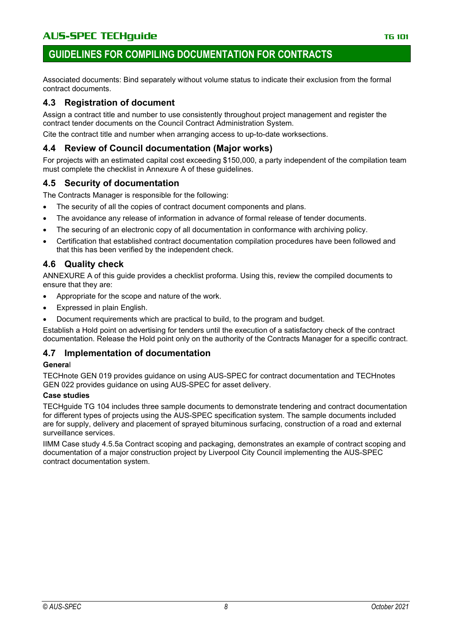## AUS-SPEC TECHquide **TG 101** TG 101

## **GUIDELINES FOR COMPILING DOCUMENTATION FOR CONTRACTS**

Associated documents: Bind separately without volume status to indicate their exclusion from the formal contract documents.

#### **4.3 Registration of document**

Assign a contract title and number to use consistently throughout project management and register the contract tender documents on the Council Contract Administration System.

Cite the contract title and number when arranging access to up-to-date worksections.

#### **4.4 Review of Council documentation (Major works)**

For projects with an estimated capital cost exceeding \$150,000, a party independent of the compilation team must complete the checklist in Annexure A of these guidelines.

#### **4.5 Security of documentation**

The Contracts Manager is responsible for the following:

- The security of all the copies of contract document components and plans.
- The avoidance any release of information in advance of formal release of tender documents.
- The securing of an electronic copy of all documentation in conformance with archiving policy.
- Certification that established contract documentation compilation procedures have been followed and that this has been verified by the independent check.

#### **4.6 Quality check**

ANNEXURE A of this guide provides a checklist proforma. Using this, review the compiled documents to ensure that they are:

- Appropriate for the scope and nature of the work.
- Expressed in plain English.
- Document requirements which are practical to build, to the program and budget.

Establish a Hold point on advertising for tenders until the execution of a satisfactory check of the contract documentation. Release the Hold point only on the authority of the Contracts Manager for a specific contract.

#### **4.7 Implementation of documentation**

#### **Genera**l

TECHnote GEN 019 provides guidance on using AUS-SPEC for contract documentation and TECHnotes GEN 022 provides guidance on using AUS-SPEC for asset delivery.

#### **Case studies**

TECHguide TG 104 includes three sample documents to demonstrate tendering and contract documentation for different types of projects using the AUS-SPEC specification system. The sample documents included are for supply, delivery and placement of sprayed bituminous surfacing, construction of a road and external surveillance services.

IIMM Case study 4.5.5a Contract scoping and packaging, demonstrates an example of contract scoping and documentation of a major construction project by Liverpool City Council implementing the AUS-SPEC contract documentation system.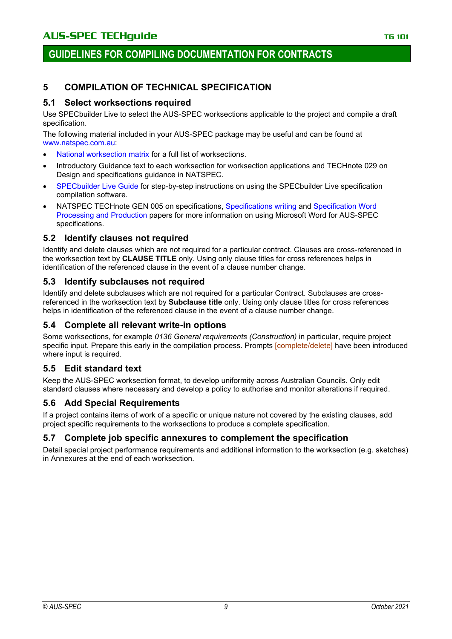## **5 COMPILATION OF TECHNICAL SPECIFICATION**

#### **5.1 Select worksections required**

Use SPECbuilder Live to select the AUS-SPEC worksections applicable to the project and compile a draft specification.

The following material included in your AUS-SPEC package may be useful and can be found at [www.natspec.com.au:](http://www.natspec.com.au/)

- [National worksection matrix](https://www.natspec.com.au/images/PDF/National_Worksection_Matrix.pdf) for a full list of worksections.
- Introductory Guidance text to each worksection for worksection applications and TECHnote 029 on Design and specifications guidance in NATSPEC.
- [SPECbuilder Live Guide](https://www.natspec.com.au/images/PDF/SPECbuilderLive_Guide_Apr_18.pdf) for step-by-step instructions on using the SPECbuilder Live specification compilation software.
- NATSPEC TECHnote GEN 005 on specifications, [Specifications writing](https://www.natspec.com.au/images/PDF/Specification_Writing_Paper.pdf) and [Specification Word](https://www.natspec.com.au/images/PDF/Specification_wordprocessing__production.pdf)  [Processing and Production](https://www.natspec.com.au/images/PDF/Specification_wordprocessing__production.pdf) papers for more information on using Microsoft Word for AUS-SPEC specifications.

#### **5.2 Identify clauses not required**

Identify and delete clauses which are not required for a particular contract. Clauses are cross-referenced in the worksection text by **CLAUSE TITLE** only. Using only clause titles for cross references helps in identification of the referenced clause in the event of a clause number change.

#### **5.3 Identify subclauses not required**

Identify and delete subclauses which are not required for a particular Contract. Subclauses are crossreferenced in the worksection text by **Subclause title** only. Using only clause titles for cross references helps in identification of the referenced clause in the event of a clause number change.

## **5.4 Complete all relevant write-in options**

Some worksections, for example *0136 General requirements (Construction)* in particular, require project specific input. Prepare this early in the compilation process. Prompts [complete/delete] have been introduced where input is required.

## **5.5 Edit standard text**

Keep the AUS-SPEC worksection format, to develop uniformity across Australian Councils. Only edit standard clauses where necessary and develop a policy to authorise and monitor alterations if required.

## **5.6 Add Special Requirements**

If a project contains items of work of a specific or unique nature not covered by the existing clauses, add project specific requirements to the worksections to produce a complete specification.

#### **5.7 Complete job specific annexures to complement the specification**

Detail special project performance requirements and additional information to the worksection (e.g. sketches) in Annexures at the end of each worksection.